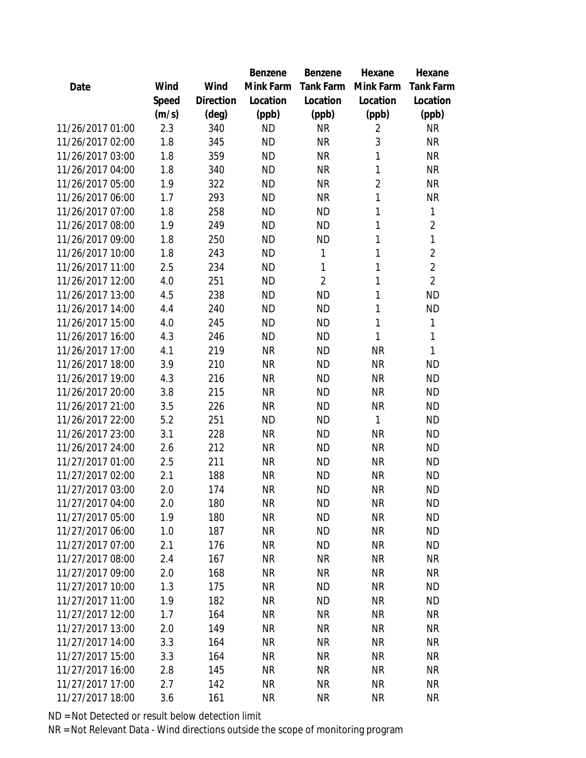|                  |       |           | Benzene   | Benzene          | Hexane         | Hexane           |
|------------------|-------|-----------|-----------|------------------|----------------|------------------|
| Date             | Wind  | Wind      | Mink Farm | <b>Tank Farm</b> | Mink Farm      | <b>Tank Farm</b> |
|                  | Speed | Direction | Location  | Location         | Location       | Location         |
|                  | (m/s) | (deg)     | (ppb)     | (ppb)            | (ppb)          | (ppb)            |
| 11/26/2017 01:00 | 2.3   | 340       | <b>ND</b> | <b>NR</b>        | $\overline{2}$ | <b>NR</b>        |
| 11/26/2017 02:00 | 1.8   | 345       | <b>ND</b> | <b>NR</b>        | 3              | <b>NR</b>        |
| 11/26/2017 03:00 | 1.8   | 359       | <b>ND</b> | <b>NR</b>        | 1              | <b>NR</b>        |
| 11/26/2017 04:00 | 1.8   | 340       | <b>ND</b> | <b>NR</b>        | 1              | <b>NR</b>        |
| 11/26/2017 05:00 | 1.9   | 322       | <b>ND</b> | <b>NR</b>        | $\overline{2}$ | <b>NR</b>        |
| 11/26/2017 06:00 | 1.7   | 293       | <b>ND</b> | <b>NR</b>        | 1              | <b>NR</b>        |
| 11/26/2017 07:00 | 1.8   | 258       | <b>ND</b> | ΝD               | 1              | 1                |
| 11/26/2017 08:00 | 1.9   | 249       | <b>ND</b> | <b>ND</b>        | 1              | $\overline{2}$   |
| 11/26/2017 09:00 | 1.8   | 250       | <b>ND</b> | <b>ND</b>        | 1              | $\mathbf 1$      |
| 11/26/2017 10:00 | 1.8   | 243       | <b>ND</b> | 1                | 1              | $\overline{2}$   |
| 11/26/2017 11:00 | 2.5   | 234       | <b>ND</b> | 1                | 1              | $\overline{2}$   |
| 11/26/2017 12:00 | 4.0   | 251       | <b>ND</b> | $\overline{2}$   | 1              | $\overline{2}$   |
| 11/26/2017 13:00 | 4.5   | 238       | <b>ND</b> | <b>ND</b>        | 1              | <b>ND</b>        |
| 11/26/2017 14:00 | 4.4   | 240       | <b>ND</b> | <b>ND</b>        | 1              | <b>ND</b>        |
| 11/26/2017 15:00 | 4.0   | 245       | <b>ND</b> | <b>ND</b>        | 1              | 1                |
| 11/26/2017 16:00 | 4.3   | 246       | <b>ND</b> | <b>ND</b>        | 1              | 1                |
| 11/26/2017 17:00 | 4.1   | 219       | <b>NR</b> | ΝD               | <b>NR</b>      | 1                |
| 11/26/2017 18:00 | 3.9   | 210       | <b>NR</b> | <b>ND</b>        | <b>NR</b>      | <b>ND</b>        |
| 11/26/2017 19:00 | 4.3   | 216       | <b>NR</b> | <b>ND</b>        | <b>NR</b>      | <b>ND</b>        |
| 11/26/2017 20:00 | 3.8   | 215       | <b>NR</b> | <b>ND</b>        | <b>NR</b>      | <b>ND</b>        |
| 11/26/2017 21:00 | 3.5   | 226       | <b>NR</b> | <b>ND</b>        | <b>NR</b>      | <b>ND</b>        |
| 11/26/2017 22:00 | 5.2   | 251       | <b>ND</b> | <b>ND</b>        | 1              | <b>ND</b>        |
| 11/26/2017 23:00 | 3.1   | 228       | <b>NR</b> | <b>ND</b>        | <b>NR</b>      | <b>ND</b>        |
| 11/26/2017 24:00 | 2.6   | 212       | <b>NR</b> | <b>ND</b>        | <b>NR</b>      | <b>ND</b>        |
| 11/27/2017 01:00 | 2.5   | 211       | <b>NR</b> | <b>ND</b>        | <b>NR</b>      | <b>ND</b>        |
| 11/27/2017 02:00 | 2.1   | 188       | <b>NR</b> | ΝD               | <b>NR</b>      | <b>ND</b>        |
| 11/27/2017 03:00 | 2.0   | 174       | <b>NR</b> | ΝD               | <b>NR</b>      | <b>ND</b>        |
| 11/27/2017 04:00 | 2.0   | 180       | <b>NR</b> | ΝD               | <b>NR</b>      | <b>ND</b>        |
| 11/27/2017 05:00 | 1.9   | 180       | <b>NR</b> | ΝD               | <b>NR</b>      | <b>ND</b>        |
| 11/27/2017 06:00 | 1.0   | 187       | <b>NR</b> | <b>ND</b>        | <b>NR</b>      | <b>ND</b>        |
| 11/27/2017 07:00 | 2.1   | 176       | <b>NR</b> | <b>ND</b>        | <b>NR</b>      | <b>ND</b>        |
| 11/27/2017 08:00 | 2.4   | 167       | <b>NR</b> | <b>NR</b>        | <b>NR</b>      | <b>NR</b>        |
| 11/27/2017 09:00 | 2.0   | 168       | <b>NR</b> | <b>NR</b>        | <b>NR</b>      | NR               |
| 11/27/2017 10:00 | 1.3   | 175       | <b>NR</b> | ΝD               | <b>NR</b>      | <b>ND</b>        |
| 11/27/2017 11:00 | 1.9   | 182       | <b>NR</b> | <b>ND</b>        | <b>NR</b>      | <b>ND</b>        |
| 11/27/2017 12:00 | 1.7   | 164       | <b>NR</b> | <b>NR</b>        | <b>NR</b>      | <b>NR</b>        |
| 11/27/2017 13:00 | 2.0   | 149       | <b>NR</b> | <b>NR</b>        | <b>NR</b>      | <b>NR</b>        |
| 11/27/2017 14:00 | 3.3   | 164       | <b>NR</b> | <b>NR</b>        | <b>NR</b>      | <b>NR</b>        |
| 11/27/2017 15:00 | 3.3   | 164       | <b>NR</b> | <b>NR</b>        | <b>NR</b>      | <b>NR</b>        |
| 11/27/2017 16:00 | 2.8   | 145       | <b>NR</b> | <b>NR</b>        | <b>NR</b>      | <b>NR</b>        |
| 11/27/2017 17:00 | 2.7   | 142       | <b>NR</b> | <b>NR</b>        | <b>NR</b>      | <b>NR</b>        |
| 11/27/2017 18:00 | 3.6   | 161       | <b>NR</b> | <b>NR</b>        | <b>NR</b>      | <b>NR</b>        |
|                  |       |           |           |                  |                |                  |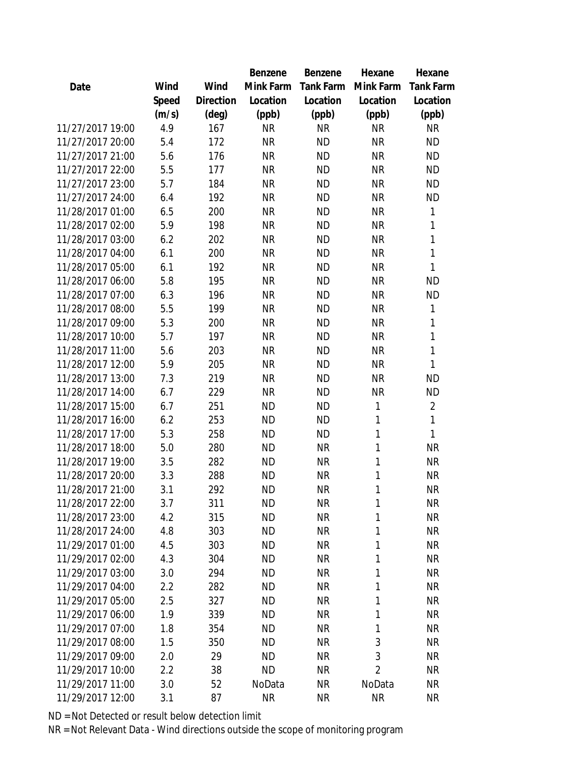|                  |       |                | Benzene   | Benzene   | Hexane         | Hexane           |
|------------------|-------|----------------|-----------|-----------|----------------|------------------|
| Date             | Wind  | Wind           | Mink Farm | Tank Farm | Mink Farm      | <b>Tank Farm</b> |
|                  | Speed | Direction      | Location  | Location  | Location       | Location         |
|                  | (m/s) | $(\text{deg})$ | (ppb)     | (ppb)     | (ppb)          | (ppb)            |
| 11/27/2017 19:00 | 4.9   | 167            | <b>NR</b> | <b>NR</b> | <b>NR</b>      | <b>NR</b>        |
| 11/27/2017 20:00 | 5.4   | 172            | <b>NR</b> | <b>ND</b> | <b>NR</b>      | <b>ND</b>        |
| 11/27/2017 21:00 | 5.6   | 176            | NR        | <b>ND</b> | <b>NR</b>      | <b>ND</b>        |
| 11/27/2017 22:00 | 5.5   | 177            | <b>NR</b> | <b>ND</b> | <b>NR</b>      | <b>ND</b>        |
| 11/27/2017 23:00 | 5.7   | 184            | <b>NR</b> | <b>ND</b> | <b>NR</b>      | <b>ND</b>        |
| 11/27/2017 24:00 | 6.4   | 192            | <b>NR</b> | <b>ND</b> | <b>NR</b>      | <b>ND</b>        |
| 11/28/2017 01:00 | 6.5   | 200            | <b>NR</b> | <b>ND</b> | <b>NR</b>      | 1                |
| 11/28/2017 02:00 | 5.9   | 198            | <b>NR</b> | <b>ND</b> | <b>NR</b>      | 1                |
| 11/28/2017 03:00 | 6.2   | 202            | <b>NR</b> | <b>ND</b> | <b>NR</b>      | $\mathbf{1}$     |
| 11/28/2017 04:00 | 6.1   | 200            | <b>NR</b> | <b>ND</b> | <b>NR</b>      | $\mathbf{1}$     |
| 11/28/2017 05:00 | 6.1   | 192            | <b>NR</b> | <b>ND</b> | <b>NR</b>      | 1                |
| 11/28/2017 06:00 | 5.8   | 195            | <b>NR</b> | <b>ND</b> | <b>NR</b>      | <b>ND</b>        |
| 11/28/2017 07:00 | 6.3   | 196            | <b>NR</b> | <b>ND</b> | <b>NR</b>      | <b>ND</b>        |
| 11/28/2017 08:00 | 5.5   | 199            | <b>NR</b> | <b>ND</b> | <b>NR</b>      | 1                |
| 11/28/2017 09:00 | 5.3   | 200            | <b>NR</b> | <b>ND</b> | <b>NR</b>      | 1                |
| 11/28/2017 10:00 | 5.7   | 197            | <b>NR</b> | <b>ND</b> | <b>NR</b>      | 1                |
| 11/28/2017 11:00 | 5.6   | 203            | <b>NR</b> | <b>ND</b> | <b>NR</b>      | $\mathbf{1}$     |
| 11/28/2017 12:00 | 5.9   | 205            | <b>NR</b> | <b>ND</b> | <b>NR</b>      | 1                |
| 11/28/2017 13:00 | 7.3   | 219            | <b>NR</b> | <b>ND</b> | <b>NR</b>      | <b>ND</b>        |
| 11/28/2017 14:00 | 6.7   | 229            | <b>NR</b> | <b>ND</b> | <b>NR</b>      | <b>ND</b>        |
| 11/28/2017 15:00 | 6.7   | 251            | <b>ND</b> | <b>ND</b> | 1              | $\overline{a}$   |
| 11/28/2017 16:00 | 6.2   | 253            | <b>ND</b> | <b>ND</b> | 1              | 1                |
| 11/28/2017 17:00 | 5.3   | 258            | <b>ND</b> | <b>ND</b> | 1              | $\mathbf{1}$     |
| 11/28/2017 18:00 | 5.0   | 280            | <b>ND</b> | <b>NR</b> | 1              | <b>NR</b>        |
| 11/28/2017 19:00 | 3.5   | 282            | <b>ND</b> | <b>NR</b> | 1              | <b>NR</b>        |
| 11/28/2017 20:00 | 3.3   | 288            | <b>ND</b> | <b>NR</b> | 1              | <b>NR</b>        |
| 11/28/2017 21:00 | 3.1   | 292            | <b>ND</b> | <b>NR</b> | 1              | <b>NR</b>        |
| 11/28/2017 22:00 | 3.7   | 311            | <b>ND</b> | <b>NR</b> | 1              | <b>NR</b>        |
| 11/28/2017 23:00 | 4.2   | 315            | <b>ND</b> | <b>NR</b> | 1              | <b>NR</b>        |
| 11/28/2017 24:00 | 4.8   | 303            | <b>ND</b> | <b>NR</b> | 1              | <b>NR</b>        |
| 11/29/2017 01:00 | 4.5   | 303            | <b>ND</b> | <b>NR</b> | 1              | <b>NR</b>        |
| 11/29/2017 02:00 | 4.3   | 304            | <b>ND</b> | <b>NR</b> | 1              | <b>NR</b>        |
| 11/29/2017 03:00 | 3.0   | 294            | <b>ND</b> | <b>NR</b> | 1              | NR               |
| 11/29/2017 04:00 | 2.2   | 282            | <b>ND</b> | <b>NR</b> | 1              | <b>NR</b>        |
| 11/29/2017 05:00 | 2.5   | 327            | <b>ND</b> | <b>NR</b> | 1              | <b>NR</b>        |
| 11/29/2017 06:00 | 1.9   | 339            | <b>ND</b> | <b>NR</b> | 1              | <b>NR</b>        |
| 11/29/2017 07:00 | 1.8   | 354            | <b>ND</b> | <b>NR</b> | 1              | <b>NR</b>        |
| 11/29/2017 08:00 | 1.5   | 350            | <b>ND</b> | <b>NR</b> | 3              | <b>NR</b>        |
| 11/29/2017 09:00 | 2.0   | 29             | <b>ND</b> | <b>NR</b> | 3              | <b>NR</b>        |
| 11/29/2017 10:00 | 2.2   | 38             | <b>ND</b> | <b>NR</b> | $\overline{2}$ | <b>NR</b>        |
| 11/29/2017 11:00 | 3.0   | 52             | NoData    | <b>NR</b> | NoData         | <b>NR</b>        |
| 11/29/2017 12:00 | 3.1   | 87             | <b>NR</b> | <b>NR</b> | <b>NR</b>      | <b>NR</b>        |
|                  |       |                |           |           |                |                  |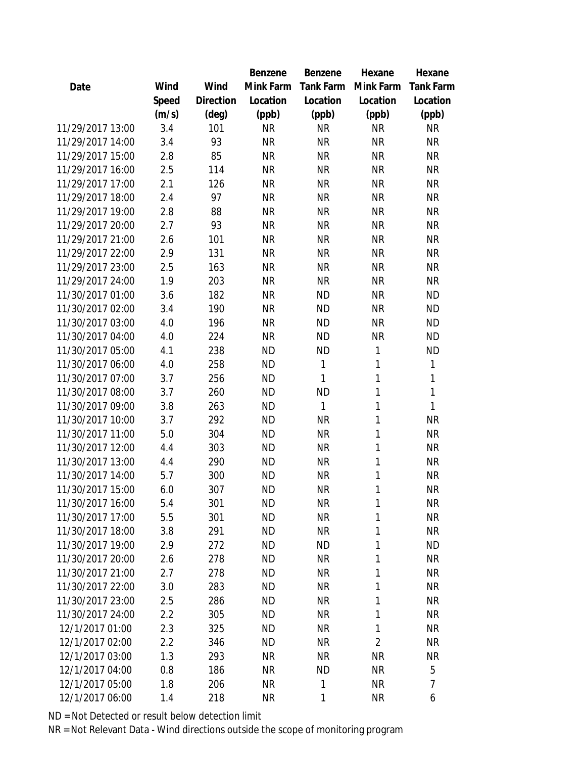|                  |       |                | Benzene   | Benzene   | Hexane         | Hexane           |
|------------------|-------|----------------|-----------|-----------|----------------|------------------|
| Date             | Wind  | Wind           | Mink Farm | Tank Farm | Mink Farm      | <b>Tank Farm</b> |
|                  | Speed | Direction      | Location  | Location  | Location       | Location         |
|                  | (m/s) | $(\text{deg})$ | (ppb)     | (ppb)     | (ppb)          | (ppb)            |
| 11/29/2017 13:00 | 3.4   | 101            | <b>NR</b> | <b>NR</b> | <b>NR</b>      | <b>NR</b>        |
| 11/29/2017 14:00 | 3.4   | 93             | <b>NR</b> | <b>NR</b> | <b>NR</b>      | <b>NR</b>        |
| 11/29/2017 15:00 | 2.8   | 85             | <b>NR</b> | <b>NR</b> | <b>NR</b>      | <b>NR</b>        |
| 11/29/2017 16:00 | 2.5   | 114            | <b>NR</b> | <b>NR</b> | <b>NR</b>      | <b>NR</b>        |
| 11/29/2017 17:00 | 2.1   | 126            | <b>NR</b> | <b>NR</b> | <b>NR</b>      | <b>NR</b>        |
| 11/29/2017 18:00 | 2.4   | 97             | <b>NR</b> | <b>NR</b> | <b>NR</b>      | <b>NR</b>        |
| 11/29/2017 19:00 | 2.8   | 88             | <b>NR</b> | <b>NR</b> | <b>NR</b>      | <b>NR</b>        |
| 11/29/2017 20:00 | 2.7   | 93             | <b>NR</b> | <b>NR</b> | <b>NR</b>      | <b>NR</b>        |
| 11/29/2017 21:00 | 2.6   | 101            | <b>NR</b> | <b>NR</b> | <b>NR</b>      | <b>NR</b>        |
| 11/29/2017 22:00 | 2.9   | 131            | <b>NR</b> | <b>NR</b> | <b>NR</b>      | <b>NR</b>        |
| 11/29/2017 23:00 | 2.5   | 163            | <b>NR</b> | <b>NR</b> | <b>NR</b>      | <b>NR</b>        |
| 11/29/2017 24:00 | 1.9   | 203            | <b>NR</b> | <b>NR</b> | <b>NR</b>      | <b>NR</b>        |
| 11/30/2017 01:00 | 3.6   | 182            | <b>NR</b> | <b>ND</b> | <b>NR</b>      | <b>ND</b>        |
| 11/30/2017 02:00 | 3.4   | 190            | <b>NR</b> | <b>ND</b> | <b>NR</b>      | <b>ND</b>        |
| 11/30/2017 03:00 | 4.0   | 196            | <b>NR</b> | <b>ND</b> | <b>NR</b>      | <b>ND</b>        |
| 11/30/2017 04:00 | 4.0   | 224            | <b>NR</b> | <b>ND</b> | <b>NR</b>      | <b>ND</b>        |
| 11/30/2017 05:00 | 4.1   | 238            | <b>ND</b> | ΝD        | 1              | <b>ND</b>        |
| 11/30/2017 06:00 | 4.0   | 258            | <b>ND</b> | 1         | 1              | 1                |
| 11/30/2017 07:00 | 3.7   | 256            | <b>ND</b> | 1         | 1              | $\mathbf 1$      |
| 11/30/2017 08:00 | 3.7   | 260            | <b>ND</b> | ΝD        | 1              | 1                |
| 11/30/2017 09:00 | 3.8   | 263            | <b>ND</b> | 1         | 1              | 1                |
| 11/30/2017 10:00 | 3.7   | 292            | <b>ND</b> | <b>NR</b> | 1              | <b>NR</b>        |
| 11/30/2017 11:00 | 5.0   | 304            | <b>ND</b> | <b>NR</b> | 1              | <b>NR</b>        |
| 11/30/2017 12:00 | 4.4   | 303            | <b>ND</b> | <b>NR</b> | 1              | <b>NR</b>        |
| 11/30/2017 13:00 | 4.4   | 290            | <b>ND</b> | <b>NR</b> | 1              | <b>NR</b>        |
| 11/30/2017 14:00 | 5.7   | 300            | <b>ND</b> | <b>NR</b> | 1              | <b>NR</b>        |
| 11/30/2017 15:00 | 6.0   | 307            | <b>ND</b> | <b>NR</b> | 1              | <b>NR</b>        |
| 11/30/2017 16:00 | 5.4   | 301            | <b>ND</b> | <b>NR</b> | 1              | <b>NR</b>        |
| 11/30/2017 17:00 | 5.5   | 301            | <b>ND</b> | <b>NR</b> | 1              | <b>NR</b>        |
| 11/30/2017 18:00 | 3.8   | 291            | <b>ND</b> | <b>NR</b> | 1              | <b>NR</b>        |
| 11/30/2017 19:00 | 2.9   | 272            | <b>ND</b> | <b>ND</b> | 1              | <b>ND</b>        |
| 11/30/2017 20:00 | 2.6   | 278            | <b>ND</b> | <b>NR</b> | 1              | <b>NR</b>        |
| 11/30/2017 21:00 | 2.7   | 278            | <b>ND</b> | <b>NR</b> | 1              | <b>NR</b>        |
| 11/30/2017 22:00 | 3.0   | 283            | <b>ND</b> | <b>NR</b> | 1              | <b>NR</b>        |
| 11/30/2017 23:00 | 2.5   | 286            | <b>ND</b> | <b>NR</b> | 1              | NR               |
| 11/30/2017 24:00 | 2.2   | 305            | ND        | <b>NR</b> | 1              | <b>NR</b>        |
| 12/1/2017 01:00  | 2.3   | 325            | <b>ND</b> | <b>NR</b> | 1              | <b>NR</b>        |
| 12/1/2017 02:00  | 2.2   | 346            | <b>ND</b> | <b>NR</b> | $\overline{2}$ | <b>NR</b>        |
| 12/1/2017 03:00  | 1.3   | 293            | <b>NR</b> | <b>NR</b> | <b>NR</b>      | <b>NR</b>        |
| 12/1/2017 04:00  | 0.8   | 186            | <b>NR</b> | ΝD        | <b>NR</b>      | 5                |
| 12/1/2017 05:00  | 1.8   | 206            | <b>NR</b> | 1         | <b>NR</b>      | 7                |
| 12/1/2017 06:00  | 1.4   | 218            | <b>NR</b> | 1         | <b>NR</b>      | 6                |
|                  |       |                |           |           |                |                  |